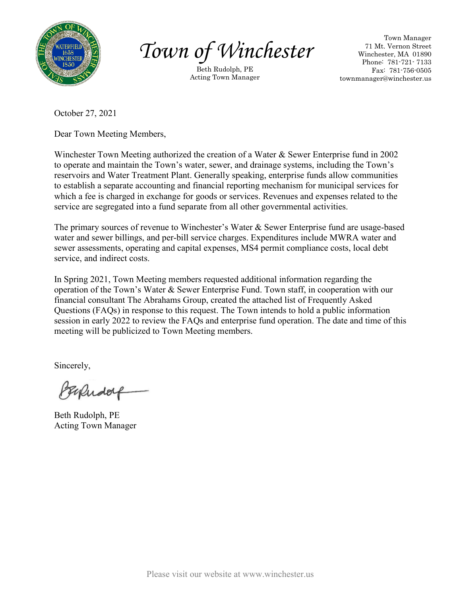

*Town of Winchester*

Beth Rudolph, PE Acting Town Manager

Town Manager 71 Mt. Vernon Street Winchester, MA 01890 Phone: 781-721- 7133 Fax: 781-756-0505 townmanager@winchester.us

October 27, 2021

Dear Town Meeting Members,

Winchester Town Meeting authorized the creation of a Water & Sewer Enterprise fund in 2002 to operate and maintain the Town's water, sewer, and drainage systems, including the Town's reservoirs and Water Treatment Plant. Generally speaking, enterprise funds allow communities to establish a separate accounting and financial reporting mechanism for municipal services for which a fee is charged in exchange for goods or services. Revenues and expenses related to the service are segregated into a fund separate from all other governmental activities.

The primary sources of revenue to Winchester's Water & Sewer Enterprise fund are usage-based water and sewer billings, and per-bill service charges. Expenditures include MWRA water and sewer assessments, operating and capital expenses, MS4 permit compliance costs, local debt service, and indirect costs.

In Spring 2021, Town Meeting members requested additional information regarding the operation of the Town's Water & Sewer Enterprise Fund. Town staff, in cooperation with our financial consultant The Abrahams Group, created the attached list of Frequently Asked Questions (FAQs) in response to this request. The Town intends to hold a public information session in early 2022 to review the FAQs and enterprise fund operation. The date and time of this meeting will be publicized to Town Meeting members.

Sincerely,

PERRudolf

Beth Rudolph, PE Acting Town Manager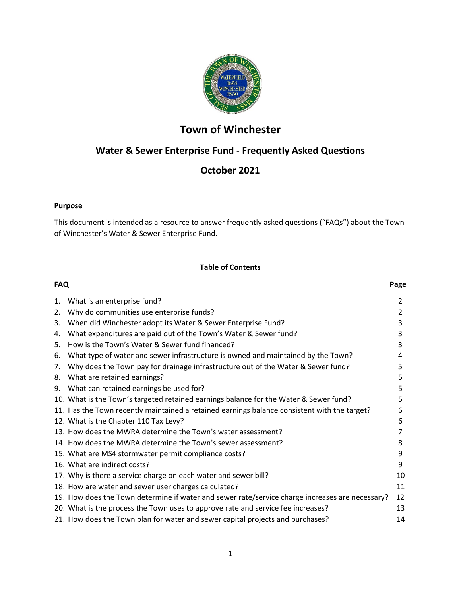

# **Town of Winchester**

## **Water & Sewer Enterprise Fund - Frequently Asked Questions**

## **October 2021**

## **Purpose**

This document is intended as a resource to answer frequently asked questions ("FAQs") about the Town of Winchester's Water & Sewer Enterprise Fund.

## **Table of Contents**

| <b>FAQ</b> |                                                                                                 | Page |
|------------|-------------------------------------------------------------------------------------------------|------|
| 1.         | What is an enterprise fund?                                                                     | 2    |
| 2.         | Why do communities use enterprise funds?                                                        | 2    |
| 3.         | When did Winchester adopt its Water & Sewer Enterprise Fund?                                    | 3    |
| 4.         | What expenditures are paid out of the Town's Water & Sewer fund?                                | 3    |
| 5.         | How is the Town's Water & Sewer fund financed?                                                  | 3    |
| 6.         | What type of water and sewer infrastructure is owned and maintained by the Town?                | 4    |
| 7.         | Why does the Town pay for drainage infrastructure out of the Water & Sewer fund?                | 5    |
| 8.         | What are retained earnings?                                                                     | 5    |
|            | 9. What can retained earnings be used for?                                                      | 5    |
|            | 10. What is the Town's targeted retained earnings balance for the Water & Sewer fund?           | 5    |
|            | 11. Has the Town recently maintained a retained earnings balance consistent with the target?    | 6    |
|            | 12. What is the Chapter 110 Tax Levy?                                                           | 6    |
|            | 13. How does the MWRA determine the Town's water assessment?                                    | 7    |
|            | 14. How does the MWRA determine the Town's sewer assessment?                                    | 8    |
|            | 15. What are MS4 stormwater permit compliance costs?                                            | 9    |
|            | 16. What are indirect costs?                                                                    | 9    |
|            | 17. Why is there a service charge on each water and sewer bill?                                 | 10   |
|            | 18. How are water and sewer user charges calculated?                                            | 11   |
|            | 19. How does the Town determine if water and sewer rate/service charge increases are necessary? | 12   |
|            | 20. What is the process the Town uses to approve rate and service fee increases?                | 13   |
|            | 21. How does the Town plan for water and sewer capital projects and purchases?                  | 14   |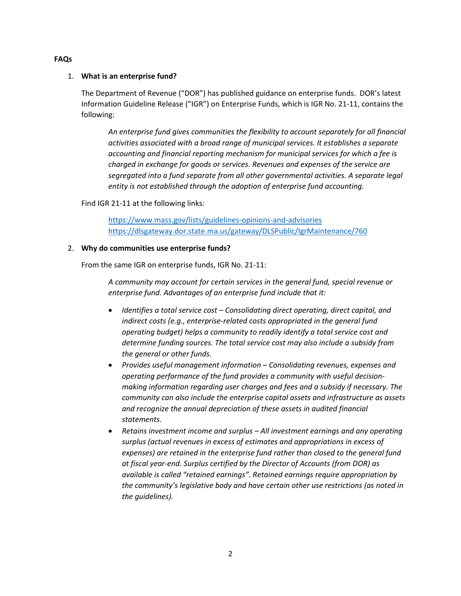#### **FAQs**

## 1. **What is an enterprise fund?**

The Department of Revenue ("DOR") has published guidance on enterprise funds. DOR's latest Information Guideline Release ("IGR") on Enterprise Funds, which is IGR No. 21-11, contains the following:

*An enterprise fund gives communities the flexibility to account separately for all financial activities associated with a broad range of municipal services. It establishes a separate accounting and financial reporting mechanism for municipal services for which a fee is charged in exchange for goods or services. Revenues and expenses of the service are segregated into a fund separate from all other governmental activities. A separate legal entity is not established through the adoption of enterprise fund accounting.* 

Find IGR 21-11 at the following links:

<https://www.mass.gov/lists/guidelines-opinions-and-advisories> <https://dlsgateway.dor.state.ma.us/gateway/DLSPublic/IgrMaintenance/760>

## 2. **Why do communities use enterprise funds?**

From the same IGR on enterprise funds, IGR No. 21-11:

*A community may account for certain services in the general fund, special revenue or enterprise fund. Advantages of an enterprise fund include that it:*

- *Identifies a total service cost – Consolidating direct operating, direct capital, and indirect costs (e.g., enterprise-related costs appropriated in the general fund operating budget) helps a community to readily identify a total service cost and determine funding sources. The total service cost may also include a subsidy from the general or other funds.*
- *Provides useful management information – Consolidating revenues, expenses and operating performance of the fund provides a community with useful decisionmaking information regarding user charges and fees and a subsidy if necessary. The community can also include the enterprise capital assets and infrastructure as assets and recognize the annual depreciation of these assets in audited financial statements.*
- *Retains investment income and surplus – All investment earnings and any operating surplus (actual revenues in excess of estimates and appropriations in excess of expenses) are retained in the enterprise fund rather than closed to the general fund at fiscal year-end. Surplus certified by the Director of Accounts (from DOR) as available is called "retained earnings". Retained earnings require appropriation by the community's legislative body and have certain other use restrictions (as noted in the guidelines).*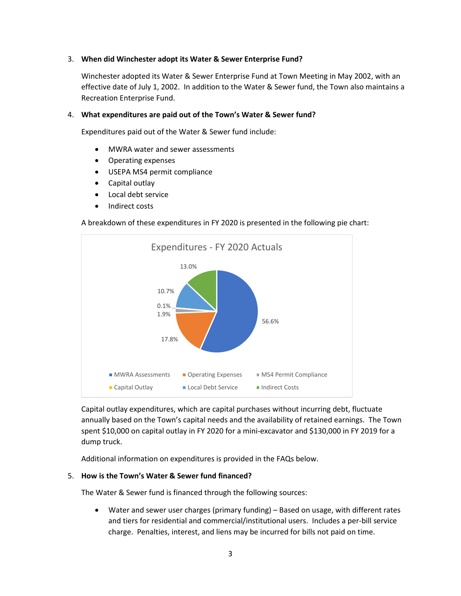#### 3. **When did Winchester adopt its Water & Sewer Enterprise Fund?**

Winchester adopted its Water & Sewer Enterprise Fund at Town Meeting in May 2002, with an effective date of July 1, 2002. In addition to the Water & Sewer fund, the Town also maintains a Recreation Enterprise Fund.

#### 4. **What expenditures are paid out of the Town's Water & Sewer fund?**

Expenditures paid out of the Water & Sewer fund include:

- MWRA water and sewer assessments
- Operating expenses
- USEPA MS4 permit compliance
- Capital outlay
- Local debt service
- Indirect costs

#### A breakdown of these expenditures in FY 2020 is presented in the following pie chart:



Capital outlay expenditures, which are capital purchases without incurring debt, fluctuate annually based on the Town's capital needs and the availability of retained earnings. The Town spent \$10,000 on capital outlay in FY 2020 for a mini-excavator and \$130,000 in FY 2019 for a dump truck.

Additional information on expenditures is provided in the FAQs below.

#### 5. **How is the Town's Water & Sewer fund financed?**

The Water & Sewer fund is financed through the following sources:

• Water and sewer user charges (primary funding) – Based on usage, with different rates and tiers for residential and commercial/institutional users. Includes a per-bill service charge. Penalties, interest, and liens may be incurred for bills not paid on time.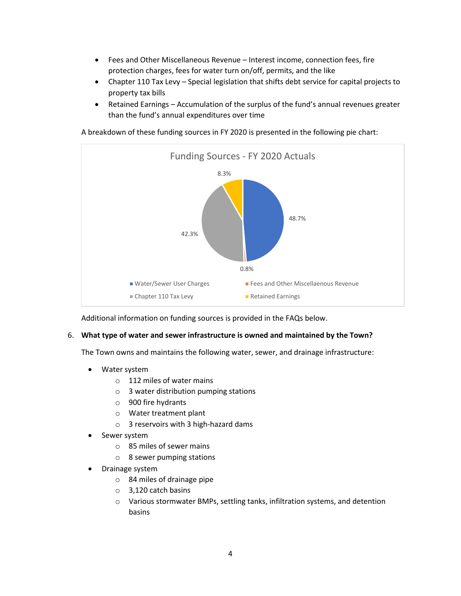- Fees and Other Miscellaneous Revenue Interest income, connection fees, fire protection charges, fees for water turn on/off, permits, and the like
- Chapter 110 Tax Levy Special legislation that shifts debt service for capital projects to property tax bills
- Retained Earnings Accumulation of the surplus of the fund's annual revenues greater than the fund's annual expenditures over time

A breakdown of these funding sources in FY 2020 is presented in the following pie chart:



Additional information on funding sources is provided in the FAQs below.

## 6. **What type of water and sewer infrastructure is owned and maintained by the Town?**

The Town owns and maintains the following water, sewer, and drainage infrastructure:

- Water system
	- o 112 miles of water mains
	- o 3 water distribution pumping stations
	- o 900 fire hydrants
	- o Water treatment plant
	- o 3 reservoirs with 3 high-hazard dams
- Sewer system
	- o 85 miles of sewer mains
	- o 8 sewer pumping stations
- Drainage system
	- o 84 miles of drainage pipe
	- o 3,120 catch basins
	- o Various stormwater BMPs, settling tanks, infiltration systems, and detention basins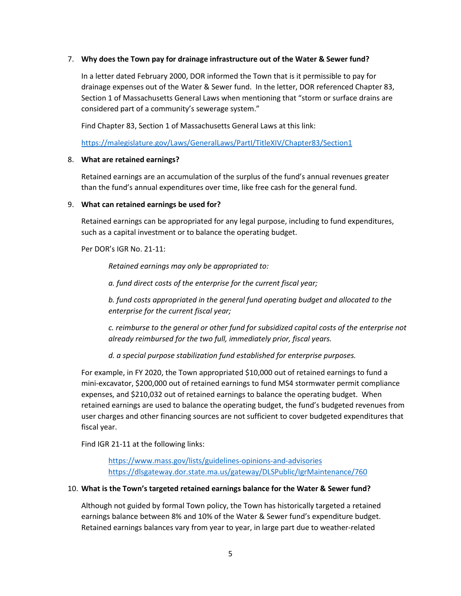#### 7. **Why does the Town pay for drainage infrastructure out of the Water & Sewer fund?**

In a letter dated February 2000, DOR informed the Town that is it permissible to pay for drainage expenses out of the Water & Sewer fund. In the letter, DOR referenced Chapter 83, Section 1 of Massachusetts General Laws when mentioning that "storm or surface drains are considered part of a community's sewerage system."

Find Chapter 83, Section 1 of Massachusetts General Laws at this link:

<https://malegislature.gov/Laws/GeneralLaws/PartI/TitleXIV/Chapter83/Section1>

#### 8. **What are retained earnings?**

Retained earnings are an accumulation of the surplus of the fund's annual revenues greater than the fund's annual expenditures over time, like free cash for the general fund.

#### 9. **What can retained earnings be used for?**

Retained earnings can be appropriated for any legal purpose, including to fund expenditures, such as a capital investment or to balance the operating budget.

Per DOR's IGR No. 21-11:

*Retained earnings may only be appropriated to:*

*a. fund direct costs of the enterprise for the current fiscal year;*

*b. fund costs appropriated in the general fund operating budget and allocated to the enterprise for the current fiscal year;*

*c. reimburse to the general or other fund for subsidized capital costs of the enterprise not already reimbursed for the two full, immediately prior, fiscal years.*

*d. a special purpose stabilization fund established for enterprise purposes.*

For example, in FY 2020, the Town appropriated \$10,000 out of retained earnings to fund a mini-excavator, \$200,000 out of retained earnings to fund MS4 stormwater permit compliance expenses, and \$210,032 out of retained earnings to balance the operating budget. When retained earnings are used to balance the operating budget, the fund's budgeted revenues from user charges and other financing sources are not sufficient to cover budgeted expenditures that fiscal year.

Find IGR 21-11 at the following links:

<https://www.mass.gov/lists/guidelines-opinions-and-advisories> <https://dlsgateway.dor.state.ma.us/gateway/DLSPublic/IgrMaintenance/760>

## 10. **What is the Town's targeted retained earnings balance for the Water & Sewer fund?**

Although not guided by formal Town policy, the Town has historically targeted a retained earnings balance between 8% and 10% of the Water & Sewer fund's expenditure budget. Retained earnings balances vary from year to year, in large part due to weather-related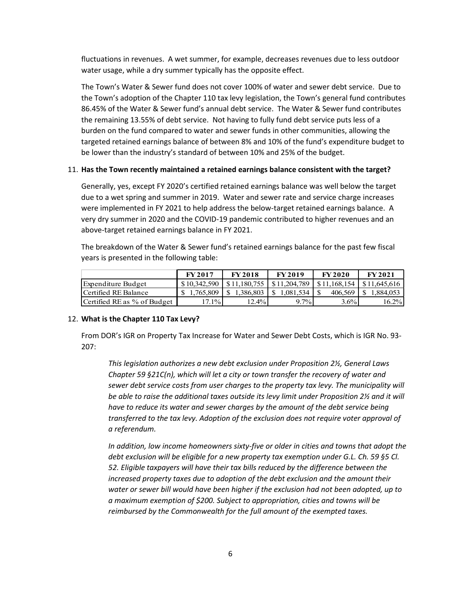fluctuations in revenues. A wet summer, for example, decreases revenues due to less outdoor water usage, while a dry summer typically has the opposite effect.

The Town's Water & Sewer fund does not cover 100% of water and sewer debt service. Due to the Town's adoption of the Chapter 110 tax levy legislation, the Town's general fund contributes 86.45% of the Water & Sewer fund's annual debt service. The Water & Sewer fund contributes the remaining 13.55% of debt service. Not having to fully fund debt service puts less of a burden on the fund compared to water and sewer funds in other communities, allowing the targeted retained earnings balance of between 8% and 10% of the fund's expenditure budget to be lower than the industry's standard of between 10% and 25% of the budget.

## 11. **Has the Town recently maintained a retained earnings balance consistent with the target?**

Generally, yes, except FY 2020's certified retained earnings balance was well below the target due to a wet spring and summer in 2019. Water and sewer rate and service charge increases were implemented in FY 2021 to help address the below-target retained earnings balance. A very dry summer in 2020 and the COVID-19 pandemic contributed to higher revenues and an above-target retained earnings balance in FY 2021.

The breakdown of the Water & Sewer fund's retained earnings balance for the past few fiscal years is presented in the following table:

|                             | <b>FY2017</b> | <b>FY2018</b>                           | <b>FY2019</b> | <b>FY 2020</b> | <b>FY 2021</b>                     |
|-----------------------------|---------------|-----------------------------------------|---------------|----------------|------------------------------------|
| Expenditure Budget          | \$10,342,590  | $\mid$ \$11,180,755 $\mid$ \$11,204,789 |               |                | $$11.168.154 \text{ } $11.645.616$ |
| Certified RE Balance        | \$1,765,809   | 1,386,803                               | 1.081.534     | 406,569        | 1,884,053                          |
| Certified RE as % of Budget | $17.1\%$      | 12.4%                                   | $9.7\%$       | $3.6\%$        | 16.2%                              |

## 12. **What is the Chapter 110 Tax Levy?**

From DOR's IGR on Property Tax Increase for Water and Sewer Debt Costs, which is IGR No. 93- 207:

*This legislation authorizes a new debt exclusion under Proposition 2½, General Laws Chapter 59 §21C(n), which will let a city or town transfer the recovery of water and sewer debt service costs from user charges to the property tax levy. The municipality will be able to raise the additional taxes outside its levy limit under Proposition 2½ and it will have to reduce its water and sewer charges by the amount of the debt service being transferred to the tax levy. Adoption of the exclusion does not require voter approval of a referendum.*

*In addition, low income homeowners sixty-five or older in cities and towns that adopt the debt exclusion will be eligible for a new property tax exemption under G.L. Ch. 59 §5 Cl. 52. Eligible taxpayers will have their tax bills reduced by the difference between the increased property taxes due to adoption of the debt exclusion and the amount their water or sewer bill would have been higher if the exclusion had not been adopted, up to a maximum exemption of \$200. Subject to appropriation, cities and towns will be reimbursed by the Commonwealth for the full amount of the exempted taxes.*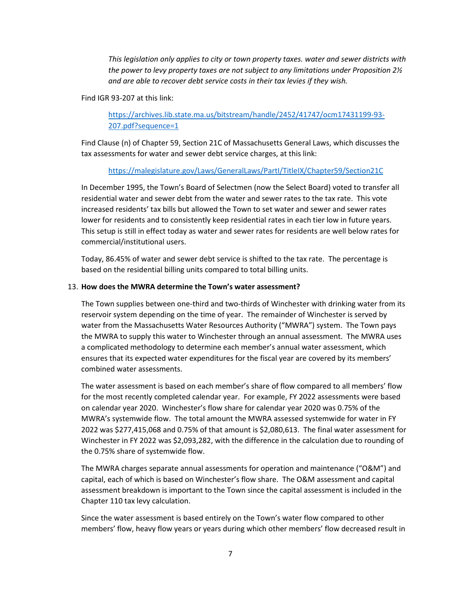*This legislation only applies to city or town property taxes. water and sewer districts with the power to levy property taxes are not subject to any limitations under Proposition 2½ and are able to recover debt service costs in their tax levies if they wish.*

#### Find IGR 93-207 at this link:

[https://archives.lib.state.ma.us/bitstream/handle/2452/41747/ocm17431199-93-](https://archives.lib.state.ma.us/bitstream/handle/2452/41747/ocm17431199-93-207.pdf?sequence=1) [207.pdf?sequence=1](https://archives.lib.state.ma.us/bitstream/handle/2452/41747/ocm17431199-93-207.pdf?sequence=1)

Find Clause (n) of Chapter 59, Section 21C of Massachusetts General Laws, which discusses the tax assessments for water and sewer debt service charges, at this link:

## <https://malegislature.gov/Laws/GeneralLaws/PartI/TitleIX/Chapter59/Section21C>

In December 1995, the Town's Board of Selectmen (now the Select Board) voted to transfer all residential water and sewer debt from the water and sewer rates to the tax rate. This vote increased residents' tax bills but allowed the Town to set water and sewer and sewer rates lower for residents and to consistently keep residential rates in each tier low in future years. This setup is still in effect today as water and sewer rates for residents are well below rates for commercial/institutional users.

Today, 86.45% of water and sewer debt service is shifted to the tax rate. The percentage is based on the residential billing units compared to total billing units.

## 13. **How does the MWRA determine the Town's water assessment?**

The Town supplies between one-third and two-thirds of Winchester with drinking water from its reservoir system depending on the time of year. The remainder of Winchester is served by water from the Massachusetts Water Resources Authority ("MWRA") system. The Town pays the MWRA to supply this water to Winchester through an annual assessment. The MWRA uses a complicated methodology to determine each member's annual water assessment, which ensures that its expected water expenditures for the fiscal year are covered by its members' combined water assessments.

The water assessment is based on each member's share of flow compared to all members' flow for the most recently completed calendar year. For example, FY 2022 assessments were based on calendar year 2020. Winchester's flow share for calendar year 2020 was 0.75% of the MWRA's systemwide flow. The total amount the MWRA assessed systemwide for water in FY 2022 was \$277,415,068 and 0.75% of that amount is \$2,080,613. The final water assessment for Winchester in FY 2022 was \$2,093,282, with the difference in the calculation due to rounding of the 0.75% share of systemwide flow.

The MWRA charges separate annual assessments for operation and maintenance ("O&M") and capital, each of which is based on Winchester's flow share. The O&M assessment and capital assessment breakdown is important to the Town since the capital assessment is included in the Chapter 110 tax levy calculation.

Since the water assessment is based entirely on the Town's water flow compared to other members' flow, heavy flow years or years during which other members' flow decreased result in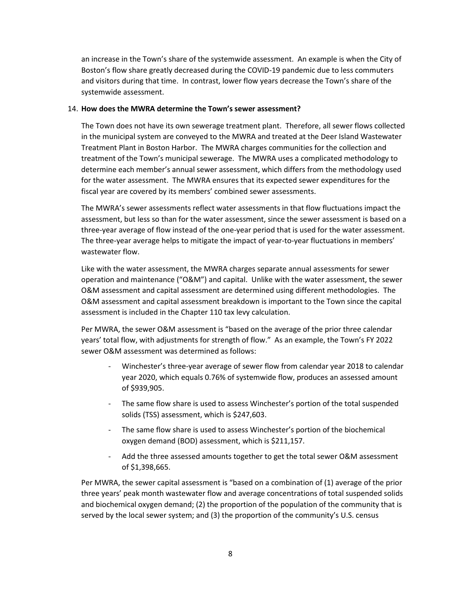an increase in the Town's share of the systemwide assessment. An example is when the City of Boston's flow share greatly decreased during the COVID-19 pandemic due to less commuters and visitors during that time. In contrast, lower flow years decrease the Town's share of the systemwide assessment.

#### 14. **How does the MWRA determine the Town's sewer assessment?**

The Town does not have its own sewerage treatment plant. Therefore, all sewer flows collected in the municipal system are conveyed to the MWRA and treated at the Deer Island Wastewater Treatment Plant in Boston Harbor. The MWRA charges communities for the collection and treatment of the Town's municipal sewerage. The MWRA uses a complicated methodology to determine each member's annual sewer assessment, which differs from the methodology used for the water assessment. The MWRA ensures that its expected sewer expenditures for the fiscal year are covered by its members' combined sewer assessments.

The MWRA's sewer assessments reflect water assessments in that flow fluctuations impact the assessment, but less so than for the water assessment, since the sewer assessment is based on a three-year average of flow instead of the one-year period that is used for the water assessment. The three-year average helps to mitigate the impact of year-to-year fluctuations in members' wastewater flow.

Like with the water assessment, the MWRA charges separate annual assessments for sewer operation and maintenance ("O&M") and capital. Unlike with the water assessment, the sewer O&M assessment and capital assessment are determined using different methodologies. The O&M assessment and capital assessment breakdown is important to the Town since the capital assessment is included in the Chapter 110 tax levy calculation.

Per MWRA, the sewer O&M assessment is "based on the average of the prior three calendar years' total flow, with adjustments for strength of flow." As an example, the Town's FY 2022 sewer O&M assessment was determined as follows:

- Winchester's three-year average of sewer flow from calendar year 2018 to calendar year 2020, which equals 0.76% of systemwide flow, produces an assessed amount of \$939,905.
- The same flow share is used to assess Winchester's portion of the total suspended solids (TSS) assessment, which is \$247,603.
- The same flow share is used to assess Winchester's portion of the biochemical oxygen demand (BOD) assessment, which is \$211,157.
- Add the three assessed amounts together to get the total sewer O&M assessment of \$1,398,665.

Per MWRA, the sewer capital assessment is "based on a combination of (1) average of the prior three years' peak month wastewater flow and average concentrations of total suspended solids and biochemical oxygen demand; (2) the proportion of the population of the community that is served by the local sewer system; and (3) the proportion of the community's U.S. census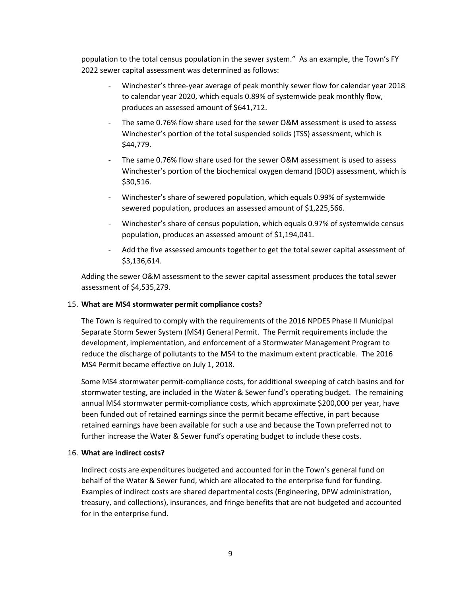population to the total census population in the sewer system." As an example, the Town's FY 2022 sewer capital assessment was determined as follows:

- Winchester's three-year average of peak monthly sewer flow for calendar year 2018 to calendar year 2020, which equals 0.89% of systemwide peak monthly flow, produces an assessed amount of \$641,712.
- The same 0.76% flow share used for the sewer O&M assessment is used to assess Winchester's portion of the total suspended solids (TSS) assessment, which is \$44,779.
- The same 0.76% flow share used for the sewer O&M assessment is used to assess Winchester's portion of the biochemical oxygen demand (BOD) assessment, which is \$30,516.
- Winchester's share of sewered population, which equals 0.99% of systemwide sewered population, produces an assessed amount of \$1,225,566.
- Winchester's share of census population, which equals 0.97% of systemwide census population, produces an assessed amount of \$1,194,041.
- Add the five assessed amounts together to get the total sewer capital assessment of \$3,136,614.

Adding the sewer O&M assessment to the sewer capital assessment produces the total sewer assessment of \$4,535,279.

## 15. **What are MS4 stormwater permit compliance costs?**

The Town is required to comply with the requirements of the 2016 NPDES Phase II Municipal Separate Storm Sewer System (MS4) General Permit. The Permit requirements include the development, implementation, and enforcement of a Stormwater Management Program to reduce the discharge of pollutants to the MS4 to the maximum extent practicable. The 2016 MS4 Permit became effective on July 1, 2018.

Some MS4 stormwater permit-compliance costs, for additional sweeping of catch basins and for stormwater testing, are included in the Water & Sewer fund's operating budget. The remaining annual MS4 stormwater permit-compliance costs, which approximate \$200,000 per year, have been funded out of retained earnings since the permit became effective, in part because retained earnings have been available for such a use and because the Town preferred not to further increase the Water & Sewer fund's operating budget to include these costs.

#### 16. **What are indirect costs?**

Indirect costs are expenditures budgeted and accounted for in the Town's general fund on behalf of the Water & Sewer fund, which are allocated to the enterprise fund for funding. Examples of indirect costs are shared departmental costs (Engineering, DPW administration, treasury, and collections), insurances, and fringe benefits that are not budgeted and accounted for in the enterprise fund.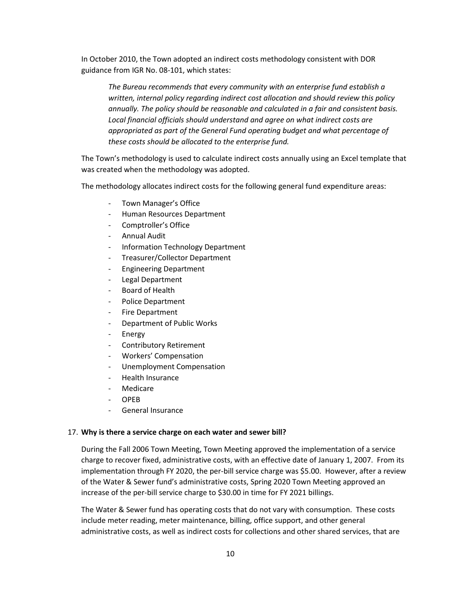In October 2010, the Town adopted an indirect costs methodology consistent with DOR guidance from IGR No. 08-101, which states:

*The Bureau recommends that every community with an enterprise fund establish a written, internal policy regarding indirect cost allocation and should review this policy annually. The policy should be reasonable and calculated in a fair and consistent basis. Local financial officials should understand and agree on what indirect costs are appropriated as part of the General Fund operating budget and what percentage of these costs should be allocated to the enterprise fund.*

The Town's methodology is used to calculate indirect costs annually using an Excel template that was created when the methodology was adopted.

The methodology allocates indirect costs for the following general fund expenditure areas:

- Town Manager's Office
- Human Resources Department
- Comptroller's Office
- Annual Audit
- Information Technology Department
- Treasurer/Collector Department
- Engineering Department
- Legal Department
- Board of Health
- Police Department
- Fire Department
- Department of Public Works
- **Energy**
- Contributory Retirement
- Workers' Compensation
- Unemployment Compensation
- Health Insurance
- **Medicare**
- OPEB
- General Insurance

## 17. **Why is there a service charge on each water and sewer bill?**

During the Fall 2006 Town Meeting, Town Meeting approved the implementation of a service charge to recover fixed, administrative costs, with an effective date of January 1, 2007. From its implementation through FY 2020, the per-bill service charge was \$5.00. However, after a review of the Water & Sewer fund's administrative costs, Spring 2020 Town Meeting approved an increase of the per-bill service charge to \$30.00 in time for FY 2021 billings.

The Water & Sewer fund has operating costs that do not vary with consumption. These costs include meter reading, meter maintenance, billing, office support, and other general administrative costs, as well as indirect costs for collections and other shared services, that are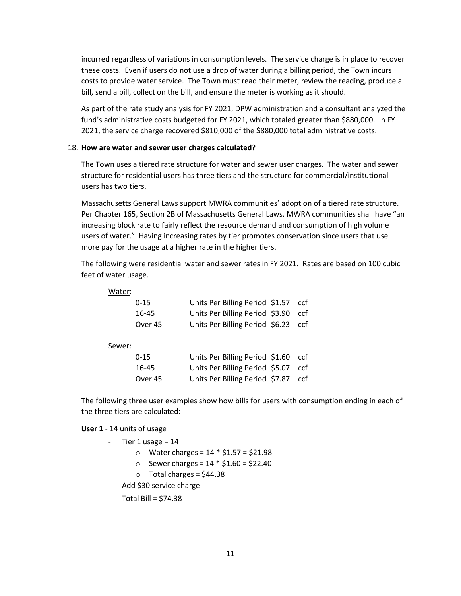incurred regardless of variations in consumption levels. The service charge is in place to recover these costs. Even if users do not use a drop of water during a billing period, the Town incurs costs to provide water service. The Town must read their meter, review the reading, produce a bill, send a bill, collect on the bill, and ensure the meter is working as it should.

As part of the rate study analysis for FY 2021, DPW administration and a consultant analyzed the fund's administrative costs budgeted for FY 2021, which totaled greater than \$880,000. In FY 2021, the service charge recovered \$810,000 of the \$880,000 total administrative costs.

#### 18. **How are water and sewer user charges calculated?**

The Town uses a tiered rate structure for water and sewer user charges. The water and sewer structure for residential users has three tiers and the structure for commercial/institutional users has two tiers.

Massachusetts General Laws support MWRA communities' adoption of a tiered rate structure. Per Chapter 165, Section 2B of Massachusetts General Laws, MWRA communities shall have "an increasing block rate to fairly reflect the resource demand and consumption of high volume users of water." Having increasing rates by tier promotes conservation since users that use more pay for the usage at a higher rate in the higher tiers.

The following were residential water and sewer rates in FY 2021. Rates are based on 100 cubic feet of water usage.

| Water: |          |                                     |     |
|--------|----------|-------------------------------------|-----|
|        | $0 - 15$ | Units Per Billing Period \$1.57 ccf |     |
|        | 16-45    | Units Per Billing Period \$3.90     | ccf |
|        | Over 45  | Units Per Billing Period \$6.23 ccf |     |
| Sewer: |          |                                     |     |
|        | $0 - 15$ | Units Per Billing Period \$1.60     | ccf |
|        | 1 C A F  | Lleite Der Billige Deried, CE 07.   | ~~€ |

| 10-4J   | <b>OTILS FEL DITTING FELIOU 20.07</b> |  |
|---------|---------------------------------------|--|
| Over 45 | Units Per Billing Period \$7.87 ccf   |  |

The following three user examples show how bills for users with consumption ending in each of the three tiers are calculated:

#### **User 1** - 14 units of usage

- $-$  Tier 1 usage = 14
	- o Water charges = 14 \* \$1.57 = \$21.98
	- $\circ$  Sewer charges = 14  $*$  \$1.60 = \$22.40
	- $\circ$  Total charges = \$44.38
- Add \$30 service charge
- $-$  Total Bill = \$74.38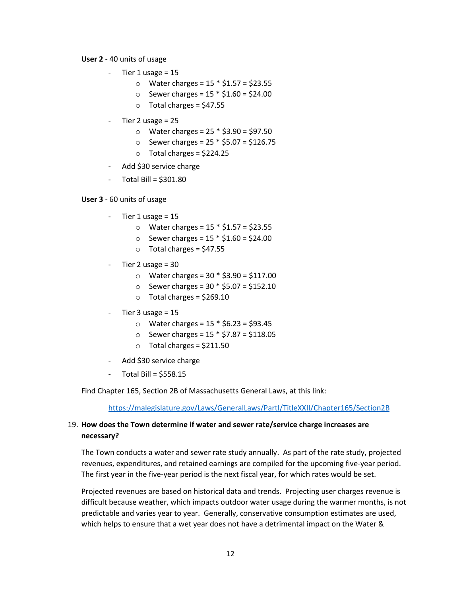#### **User 2** - 40 units of usage

- $-$  Tier 1 usage = 15
	- o Water charges = 15 \* \$1.57 = \$23.55
	- $\circ$  Sewer charges = 15  $*$  \$1.60 = \$24.00
	- $\circ$  Total charges = \$47.55
- $-$  Tier 2 usage = 25
	- $\circ$  Water charges = 25  $*$  \$3.90 = \$97.50
	- $\circ$  Sewer charges = 25  $*$  \$5.07 = \$126.75
	- $\circ$  Total charges = \$224.25
- Add \$30 service charge
- $-$  Total Bill = \$301.80

#### **User 3** - 60 units of usage

- $-$  Tier 1 usage = 15
	- o Water charges = 15 \* \$1.57 = \$23.55
	- $\circ$  Sewer charges = 15  $*$  \$1.60 = \$24.00
	- $\circ$  Total charges = \$47.55
- Tier 2 usage = 30
	- o Water charges = 30 \* \$3.90 = \$117.00
	- $\circ$  Sewer charges = 30  $*$  \$5.07 = \$152.10
	- o Total charges = \$269.10
- Tier  $3$  usage =  $15$ 
	- o Water charges = 15 \* \$6.23 = \$93.45
	- $\circ$  Sewer charges = 15  $*$  \$7.87 = \$118.05
	- $\circ$  Total charges = \$211.50
- Add \$30 service charge
- Total Bill = \$558.15

Find Chapter 165, Section 2B of Massachusetts General Laws, at this link:

<https://malegislature.gov/Laws/GeneralLaws/PartI/TitleXXII/Chapter165/Section2B>

## 19. **How does the Town determine if water and sewer rate/service charge increases are necessary?**

The Town conducts a water and sewer rate study annually. As part of the rate study, projected revenues, expenditures, and retained earnings are compiled for the upcoming five-year period. The first year in the five-year period is the next fiscal year, for which rates would be set.

Projected revenues are based on historical data and trends. Projecting user charges revenue is difficult because weather, which impacts outdoor water usage during the warmer months, is not predictable and varies year to year. Generally, conservative consumption estimates are used, which helps to ensure that a wet year does not have a detrimental impact on the Water &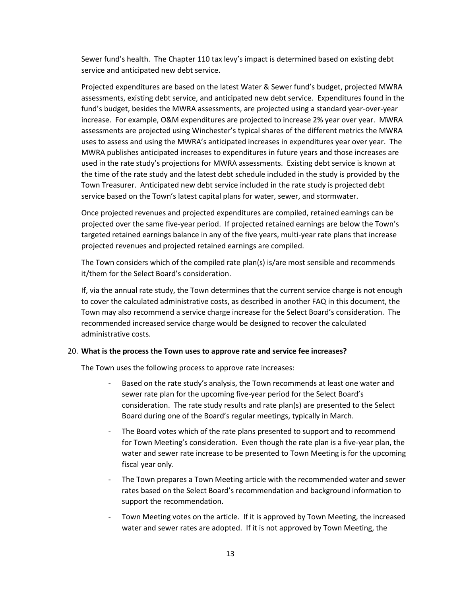Sewer fund's health. The Chapter 110 tax levy's impact is determined based on existing debt service and anticipated new debt service.

Projected expenditures are based on the latest Water & Sewer fund's budget, projected MWRA assessments, existing debt service, and anticipated new debt service. Expenditures found in the fund's budget, besides the MWRA assessments, are projected using a standard year-over-year increase. For example, O&M expenditures are projected to increase 2% year over year. MWRA assessments are projected using Winchester's typical shares of the different metrics the MWRA uses to assess and using the MWRA's anticipated increases in expenditures year over year. The MWRA publishes anticipated increases to expenditures in future years and those increases are used in the rate study's projections for MWRA assessments. Existing debt service is known at the time of the rate study and the latest debt schedule included in the study is provided by the Town Treasurer. Anticipated new debt service included in the rate study is projected debt service based on the Town's latest capital plans for water, sewer, and stormwater.

Once projected revenues and projected expenditures are compiled, retained earnings can be projected over the same five-year period. If projected retained earnings are below the Town's targeted retained earnings balance in any of the five years, multi-year rate plans that increase projected revenues and projected retained earnings are compiled.

The Town considers which of the compiled rate plan(s) is/are most sensible and recommends it/them for the Select Board's consideration.

If, via the annual rate study, the Town determines that the current service charge is not enough to cover the calculated administrative costs, as described in another FAQ in this document, the Town may also recommend a service charge increase for the Select Board's consideration. The recommended increased service charge would be designed to recover the calculated administrative costs.

#### 20. **What is the process the Town uses to approve rate and service fee increases?**

The Town uses the following process to approve rate increases:

- Based on the rate study's analysis, the Town recommends at least one water and sewer rate plan for the upcoming five-year period for the Select Board's consideration. The rate study results and rate plan(s) are presented to the Select Board during one of the Board's regular meetings, typically in March.
- The Board votes which of the rate plans presented to support and to recommend for Town Meeting's consideration. Even though the rate plan is a five-year plan, the water and sewer rate increase to be presented to Town Meeting is for the upcoming fiscal year only.
- The Town prepares a Town Meeting article with the recommended water and sewer rates based on the Select Board's recommendation and background information to support the recommendation.
- Town Meeting votes on the article. If it is approved by Town Meeting, the increased water and sewer rates are adopted. If it is not approved by Town Meeting, the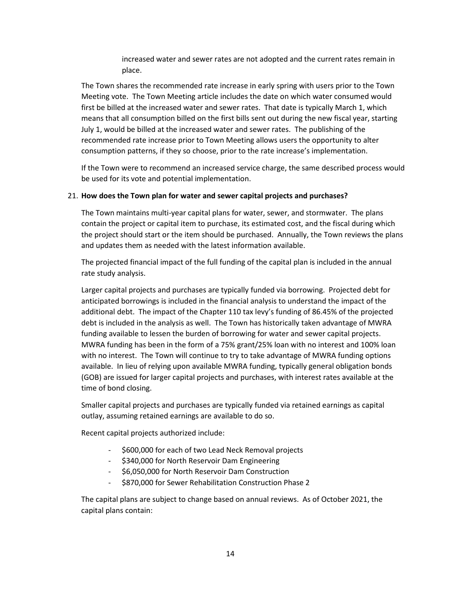increased water and sewer rates are not adopted and the current rates remain in place.

The Town shares the recommended rate increase in early spring with users prior to the Town Meeting vote. The Town Meeting article includes the date on which water consumed would first be billed at the increased water and sewer rates. That date is typically March 1, which means that all consumption billed on the first bills sent out during the new fiscal year, starting July 1, would be billed at the increased water and sewer rates. The publishing of the recommended rate increase prior to Town Meeting allows users the opportunity to alter consumption patterns, if they so choose, prior to the rate increase's implementation.

If the Town were to recommend an increased service charge, the same described process would be used for its vote and potential implementation.

## 21. **How does the Town plan for water and sewer capital projects and purchases?**

The Town maintains multi-year capital plans for water, sewer, and stormwater. The plans contain the project or capital item to purchase, its estimated cost, and the fiscal during which the project should start or the item should be purchased. Annually, the Town reviews the plans and updates them as needed with the latest information available.

The projected financial impact of the full funding of the capital plan is included in the annual rate study analysis.

Larger capital projects and purchases are typically funded via borrowing. Projected debt for anticipated borrowings is included in the financial analysis to understand the impact of the additional debt. The impact of the Chapter 110 tax levy's funding of 86.45% of the projected debt is included in the analysis as well. The Town has historically taken advantage of MWRA funding available to lessen the burden of borrowing for water and sewer capital projects. MWRA funding has been in the form of a 75% grant/25% loan with no interest and 100% loan with no interest. The Town will continue to try to take advantage of MWRA funding options available. In lieu of relying upon available MWRA funding, typically general obligation bonds (GOB) are issued for larger capital projects and purchases, with interest rates available at the time of bond closing.

Smaller capital projects and purchases are typically funded via retained earnings as capital outlay, assuming retained earnings are available to do so.

Recent capital projects authorized include:

- \$600,000 for each of two Lead Neck Removal projects
- \$340,000 for North Reservoir Dam Engineering
- \$6,050,000 for North Reservoir Dam Construction
- \$870,000 for Sewer Rehabilitation Construction Phase 2

The capital plans are subject to change based on annual reviews. As of October 2021, the capital plans contain: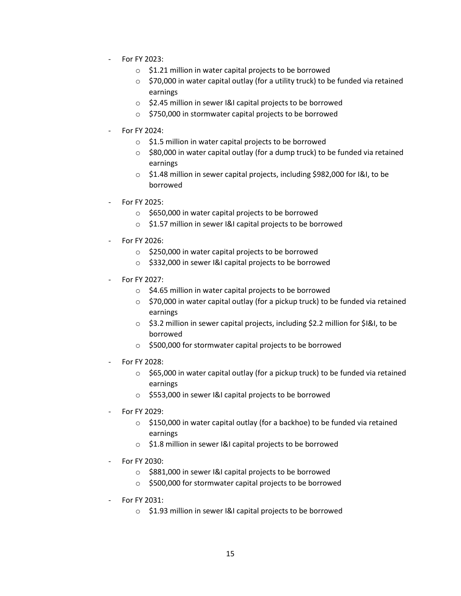- For FY 2023:
	- o \$1.21 million in water capital projects to be borrowed
	- $\circ$  \$70,000 in water capital outlay (for a utility truck) to be funded via retained earnings
	- o \$2.45 million in sewer I&I capital projects to be borrowed
	- o \$750,000 in stormwater capital projects to be borrowed
- For FY 2024:
	- o \$1.5 million in water capital projects to be borrowed
	- o \$80,000 in water capital outlay (for a dump truck) to be funded via retained earnings
	- o \$1.48 million in sewer capital projects, including \$982,000 for I&I, to be borrowed
- For FY 2025:
	- o \$650,000 in water capital projects to be borrowed
	- o \$1.57 million in sewer I&I capital projects to be borrowed
- For FY 2026:
	- o \$250,000 in water capital projects to be borrowed
	- o \$332,000 in sewer I&I capital projects to be borrowed
- For FY 2027:
	- o \$4.65 million in water capital projects to be borrowed
	- o \$70,000 in water capital outlay (for a pickup truck) to be funded via retained earnings
	- o \$3.2 million in sewer capital projects, including \$2.2 million for \$I&I, to be borrowed
	- o \$500,000 for stormwater capital projects to be borrowed
- For FY 2028:
	- o \$65,000 in water capital outlay (for a pickup truck) to be funded via retained earnings
	- o \$553,000 in sewer I&I capital projects to be borrowed
- For FY 2029:
	- o \$150,000 in water capital outlay (for a backhoe) to be funded via retained earnings
	- o \$1.8 million in sewer I&I capital projects to be borrowed
- For FY 2030:
	- o \$881,000 in sewer I&I capital projects to be borrowed
	- o \$500,000 for stormwater capital projects to be borrowed
- For FY 2031:
	- o \$1.93 million in sewer I&I capital projects to be borrowed